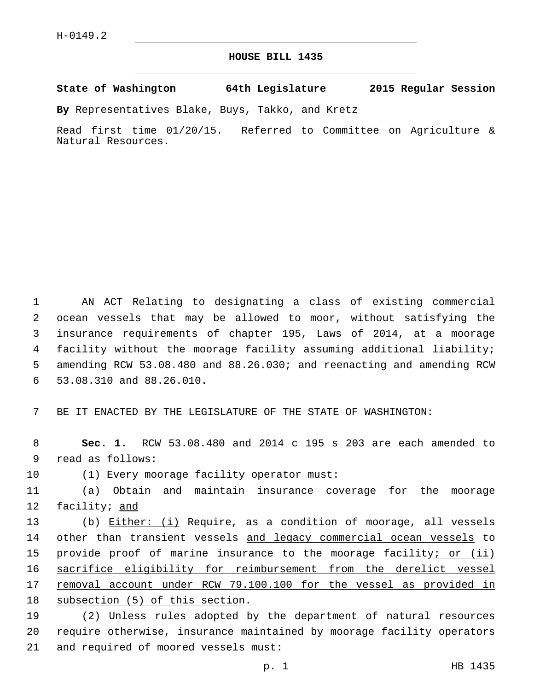## **HOUSE BILL 1435**

**State of Washington 64th Legislature 2015 Regular Session**

**By** Representatives Blake, Buys, Takko, and Kretz

Read first time 01/20/15. Referred to Committee on Agriculture & Natural Resources.

 AN ACT Relating to designating a class of existing commercial ocean vessels that may be allowed to moor, without satisfying the insurance requirements of chapter 195, Laws of 2014, at a moorage facility without the moorage facility assuming additional liability; amending RCW 53.08.480 and 88.26.030; and reenacting and amending RCW 53.08.310 and 88.26.010.6

7 BE IT ENACTED BY THE LEGISLATURE OF THE STATE OF WASHINGTON:

8 **Sec. 1.** RCW 53.08.480 and 2014 c 195 s 203 are each amended to 9 read as follows:

10 (1) Every moorage facility operator must:

11 (a) Obtain and maintain insurance coverage for the moorage 12 facility; and

13 (b) Either: (i) Require, as a condition of moorage, all vessels 14 other than transient vessels and legacy commercial ocean vessels to 15 provide proof of marine insurance to the moorage facility; or (ii) 16 sacrifice eligibility for reimbursement from the derelict vessel 17 removal account under RCW 79.100.100 for the vessel as provided in 18 subsection (5) of this section.

19 (2) Unless rules adopted by the department of natural resources 20 require otherwise, insurance maintained by moorage facility operators 21 and required of moored vessels must: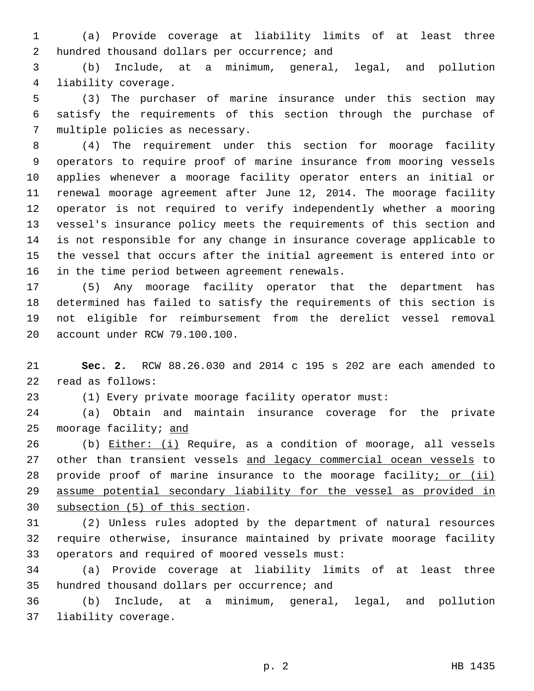(a) Provide coverage at liability limits of at least three 2 hundred thousand dollars per occurrence; and

 (b) Include, at a minimum, general, legal, and pollution 4 liability coverage.

 (3) The purchaser of marine insurance under this section may satisfy the requirements of this section through the purchase of 7 multiple policies as necessary.

 (4) The requirement under this section for moorage facility operators to require proof of marine insurance from mooring vessels applies whenever a moorage facility operator enters an initial or renewal moorage agreement after June 12, 2014. The moorage facility operator is not required to verify independently whether a mooring vessel's insurance policy meets the requirements of this section and is not responsible for any change in insurance coverage applicable to the vessel that occurs after the initial agreement is entered into or 16 in the time period between agreement renewals.

 (5) Any moorage facility operator that the department has determined has failed to satisfy the requirements of this section is not eligible for reimbursement from the derelict vessel removal 20 account under RCW 79.100.100.

 **Sec. 2.** RCW 88.26.030 and 2014 c 195 s 202 are each amended to 22 read as follows:

(1) Every private moorage facility operator must:

 (a) Obtain and maintain insurance coverage for the private moorage facility; and

26 (b) Either: (i) Require, as a condition of moorage, all vessels 27 other than transient vessels and legacy commercial ocean vessels to 28 provide proof of marine insurance to the moorage facility; or (ii) assume potential secondary liability for the vessel as provided in 30 subsection (5) of this section.

 (2) Unless rules adopted by the department of natural resources require otherwise, insurance maintained by private moorage facility 33 operators and required of moored vessels must:

 (a) Provide coverage at liability limits of at least three 35 hundred thousand dollars per occurrence; and

 (b) Include, at a minimum, general, legal, and pollution 37 liability coverage.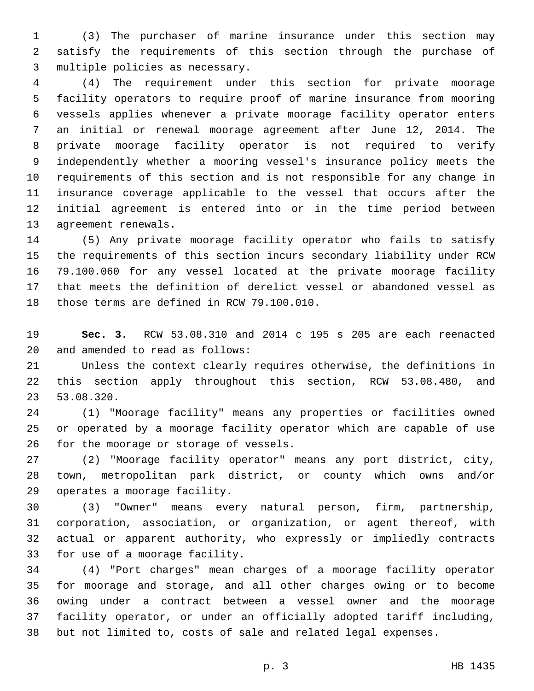(3) The purchaser of marine insurance under this section may satisfy the requirements of this section through the purchase of 3 multiple policies as necessary.

 (4) The requirement under this section for private moorage facility operators to require proof of marine insurance from mooring vessels applies whenever a private moorage facility operator enters an initial or renewal moorage agreement after June 12, 2014. The private moorage facility operator is not required to verify independently whether a mooring vessel's insurance policy meets the requirements of this section and is not responsible for any change in insurance coverage applicable to the vessel that occurs after the initial agreement is entered into or in the time period between 13 agreement renewals.

 (5) Any private moorage facility operator who fails to satisfy the requirements of this section incurs secondary liability under RCW 79.100.060 for any vessel located at the private moorage facility that meets the definition of derelict vessel or abandoned vessel as 18 those terms are defined in RCW 79.100.010.

 **Sec. 3.** RCW 53.08.310 and 2014 c 195 s 205 are each reenacted 20 and amended to read as follows:

 Unless the context clearly requires otherwise, the definitions in this section apply throughout this section, RCW 53.08.480, and 53.08.320.23

 (1) "Moorage facility" means any properties or facilities owned or operated by a moorage facility operator which are capable of use 26 for the moorage or storage of vessels.

 (2) "Moorage facility operator" means any port district, city, town, metropolitan park district, or county which owns and/or 29 operates a moorage facility.

 (3) "Owner" means every natural person, firm, partnership, corporation, association, or organization, or agent thereof, with actual or apparent authority, who expressly or impliedly contracts 33 for use of a moorage facility.

 (4) "Port charges" mean charges of a moorage facility operator for moorage and storage, and all other charges owing or to become owing under a contract between a vessel owner and the moorage facility operator, or under an officially adopted tariff including, but not limited to, costs of sale and related legal expenses.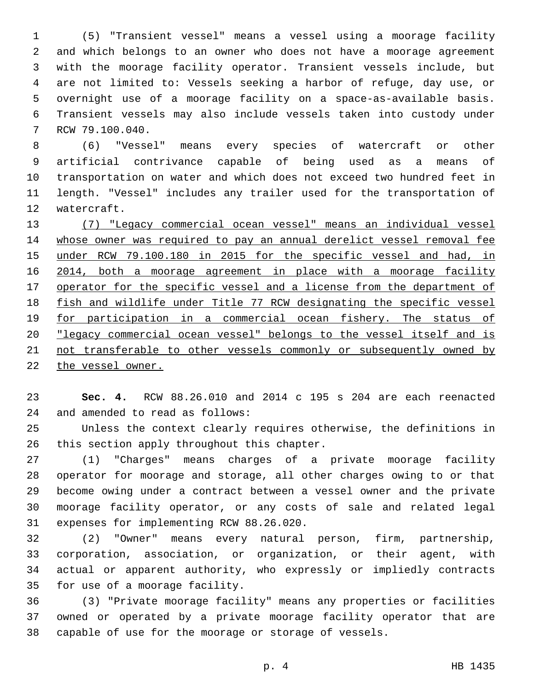(5) "Transient vessel" means a vessel using a moorage facility and which belongs to an owner who does not have a moorage agreement with the moorage facility operator. Transient vessels include, but are not limited to: Vessels seeking a harbor of refuge, day use, or overnight use of a moorage facility on a space-as-available basis. Transient vessels may also include vessels taken into custody under 7 RCW 79.100.040.

 (6) "Vessel" means every species of watercraft or other artificial contrivance capable of being used as a means of transportation on water and which does not exceed two hundred feet in length. "Vessel" includes any trailer used for the transportation of 12 watercraft.

 (7) "Legacy commercial ocean vessel" means an individual vessel whose owner was required to pay an annual derelict vessel removal fee 15 under RCW 79.100.180 in 2015 for the specific vessel and had, in 16 2014, both a moorage agreement in place with a moorage facility 17 operator for the specific vessel and a license from the department of fish and wildlife under Title 77 RCW designating the specific vessel for participation in a commercial ocean fishery. The status of "legacy commercial ocean vessel" belongs to the vessel itself and is not transferable to other vessels commonly or subsequently owned by the vessel owner.

 **Sec. 4.** RCW 88.26.010 and 2014 c 195 s 204 are each reenacted 24 and amended to read as follows:

 Unless the context clearly requires otherwise, the definitions in 26 this section apply throughout this chapter.

 (1) "Charges" means charges of a private moorage facility operator for moorage and storage, all other charges owing to or that become owing under a contract between a vessel owner and the private moorage facility operator, or any costs of sale and related legal 31 expenses for implementing RCW 88.26.020.

 (2) "Owner" means every natural person, firm, partnership, corporation, association, or organization, or their agent, with actual or apparent authority, who expressly or impliedly contracts 35 for use of a moorage facility.

 (3) "Private moorage facility" means any properties or facilities owned or operated by a private moorage facility operator that are capable of use for the moorage or storage of vessels.